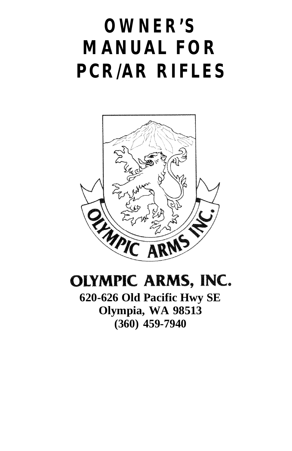# **OWNER'S MANUAL FOR PCR/AR RIFLES**



## OLYMPIC ARMS, INC.

**620-626 Old Pacific Hwy SE Olympia, WA 98513 (360) 459-7940**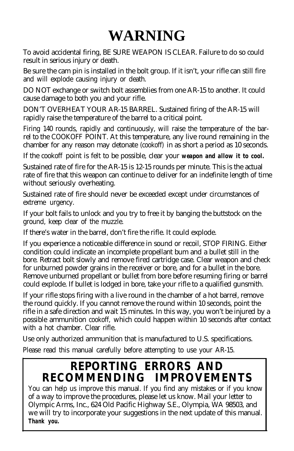# **WARNING**

To avoid accidental firing, BE SURE WEAPON IS CLEAR. Failure to do so could result in serious injury or death.

Be sure the cam pin is installed in the bolt group. If it isn't, your rifle can still fire and will explode causing injury or death.

DO NOT exchange or switch bolt assemblies from one AR-15 to another. It could cause damage to both you and your rifle.

DON'T OVERHEAT YOUR AR-15 BARREL. Sustained firing of the AR-15 will rapidly raise the temperature of the barrel to a critical point.

Firing 140 rounds, rapidly and continuously, will raise the temperature of the barrel to the COOKOFF POINT. At this temperature, any live round remaining in the chamber for any reason may detonate (cookoff) in as short a period as 10 seconds.

If the cookoff point is felt to be possible, clear your *weapon and allow it to cool.*

Sustained rate of fire for the AR-15 is 12-15 rounds per minute. This is the actual rate of fire that this weapon can continue to deliver for an indefinite length of time without seriously overheating.

Sustained rate of fire should never be exceeded except under circumstances of extreme urgency.

If your bolt fails to unlock and you try to free it by banging the buttstock on the ground, keep clear of the muzzle.

If there's water in the barrel, don't fire the rifle. It could explode.

If you experience a noticeable difference in sound or recoil, STOP FIRING. Either condition could indicate an incomplete propellant bum and a bullet still in the bore. Retract bolt slowly and remove fired cartridge case. Clear weapon and check for unburned powder grains in the receiver or bore, and for a bullet in the bore. Remove unburned propellant or bullet from bore before resuming firing or barrel could explode. If bullet is lodged in bore, take your rifle to a qualified gunsmith.

If your rifle stops firing with a live round in the chamber of a hot barrel, remove the round quickly. If you cannot remove the round within 10 seconds, point the rifle in a safe direction and wait 15 minutes. In this way, you won't be injured by a possible ammunition cookoff, which could happen within 10 seconds after contact with a hot chamber. Clear rifle.

Use only authorized ammunition that is manufactured to U.S. specifications.

Please read this manual carefully before attempting to use your AR-15.

## **REPORTING ERRORS AND RECOMMENDING IMPROVEMENTS**

You can help us improve this manual. If you find any mistakes or if you know of a way to improve the procedures, please let us know. Mail your letter to Olympic Arms, Inc., 624 Old Pacific Highway S.E., Olympia, WA 98503, and we will try to incorporate your suggestions in the next update of this manual. *Thank you.*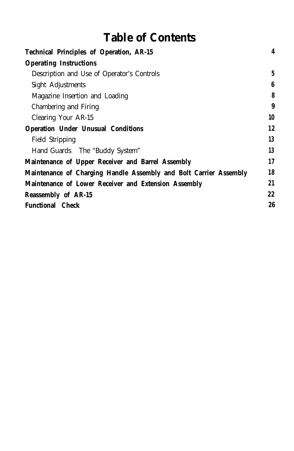## **Table of Contents**

| <b>Operating Instructions</b>                                           |   |
|-------------------------------------------------------------------------|---|
| Description and Use of Operator's Controls                              | 5 |
| Sight Adjustments                                                       | 6 |
| Magazine Insertion and Loading                                          | 8 |
| Chambering and Firing                                                   | 9 |
| 10<br>Clearing Your AR-15                                               |   |
| 12<br><b>Operation Under Unusual Conditions</b>                         |   |
| 13<br>Field Stripping                                                   |   |
| 13<br>Hand Guards The "Buddy System"                                    |   |
| 17<br>Maintenance of Upper Receiver and Barrel Assembly                 |   |
| 18<br>Maintenance of Charging Handle Assembly and Bolt Carrier Assembly |   |
| 21<br>Maintenance of Lower Receiver and Extension Assembly              |   |
| 22<br><b>Reassembly of AR-15</b>                                        |   |
| 26<br><b>Functional Check</b>                                           |   |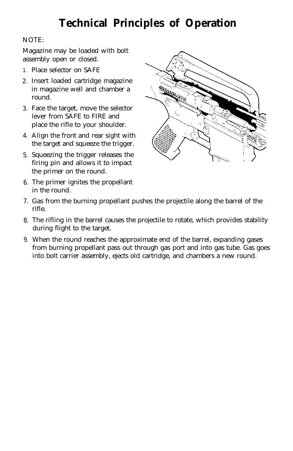## **Technical Principles of Operation**

#### NOTE:

Magazine may be loaded with bolt assembly open or closed.

- 1. Place selector on SAFE
- 2. Insert loaded cartridge magazine in magazine well and chamber a round.
- 3. Face the target, move the selector lever from SAFE to FIRE and place the rifle to your shoulder.
- 4. Align the front and rear sight with the target and squeeze the trigger.
- 5. Squeezing the trigger releases the firing pin and allows it to impact the primer on the round.
- 6. The primer ignites the propellant in the round.



- 7. Gas from the burning propellant pushes the projectile along the barrel of the rifle.
- 8. The rifling in the barrel causes the projectile to rotate, which provides stability during flight to the target.
- 9. When the round reaches the approximate end of the barrel, expanding gases from burning propellant pass out through gas port and into gas tube. Gas goes into bolt carrier assembly, ejects old cartridge, and chambers a new round.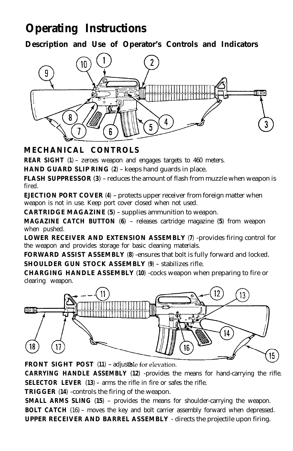## **Operating Instructions**

**Description and Use of Operator's Controls and Indicators**



## **MECHANICAL CONTROLS**

**REAR SIGHT** (**1**) - zeroes weapon and engages targets to 460 meters.

**HAND GUARD SLIP RING** (**2**) - keeps hand guards in place.

**FLASH SUPPRESSOR** (**<sup>3</sup>**) - reduces the amount of flash from muzzle when weapon is fired.

**EJECTION PORT COVER** (**4**) - protects upper receiver from foreign matter when weapon is not in use. Keep port cover closed when not used.

**CARTRIDGE MAGAZINE** (**5**) - supplies ammunition to weapon.

**MAGAZINE CATCH BUTTON** (**<sup>6</sup>**) - releases cartridge magazine (**<sup>5</sup>**) from weapon when pushed.

**LOWER RECEIVER AND EXTENSION ASSEMBLY** (**7**) -provides firing control for the weapon and provides storage for basic cleaning materials.

**FORWARD ASSIST ASSEMBLY** (**8**) -ensures that bolt is fully forward and locked. **SHOULDER GUN STOCK ASSEMBLY** (**9**) - stabilizes rifle.

**CHARGING HANDLE ASSEMBLY** (**10**) -cocks weapon when preparing to fire or clearing weapon.



**FRONT SIGHT POST** (11) - adjustble for elevation.

**CARRYING HANDLE ASSEMBLY** (**12**) -provides the means for hand-carrying the rifle. **SELECTOR LEVER** (**13**) - arms the rifle in fire or safes the rifle.

**TRIGGER** (**14**) -controls the firing of the weapon.

**SMALL ARMS SLING (15)** - provides the means for shoulder-carrying the weapon. **BOLT CATCH** (16) - moves the key and bolt carrier assembly forward when depressed. **UPPER RECEIVER AND BARREL ASSEMBLY** - directs the projectile upon firing.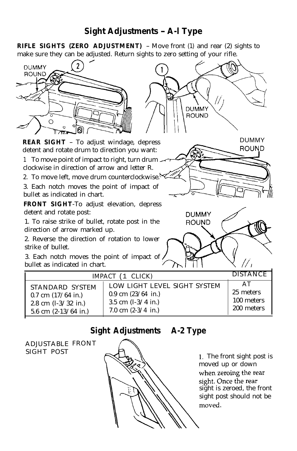## **Sight Adjustments - A-l Type**

**RIFLE SIGHTS (ZERO ADJUSTMENT)** - Move front (1) and rear (2) sights to make sure they can be adjusted. Return sights to zero setting of your rifle.



## **Sight Adjustments - A-2 Type**

ADJUSTABLE FRONT SIGHT POST



1. The front sight post is moved up or down when zeroing the rear sight. Once the rear sight is zeroed, the front sight post should not bemoved.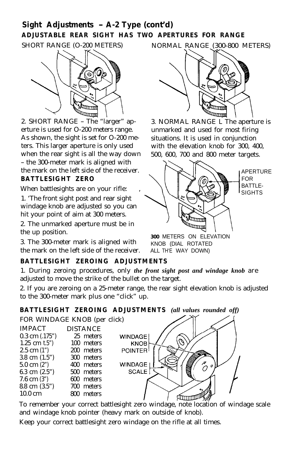## **Sight Adjustments - A-2 Type (cont'd) ADJUSTABLE REAR SIGHT HAS TWO APERTURES FOR RANGE**



2. SHORT RANGE - The "larger" aperture is used for O-200 meters range. As shown, the sight is set for O-200 meters. This larger aperture is only used when the rear sight is all the way down - the 300-meter mark is aligned with the mark on the left side of the receiver. **BATTLESIGHT ZERO**

When battlesights are on your rifle:

1. 'The front sight post and rear sight windage knob are adjusted so you can hit your point of aim at 300 meters.

2. The unmarked aperture must be in the up position.

3. The 300-meter mark is aligned with the mark on the left side of the receiver. ALL TH'E WAY DOWN)

## SHORT RANGE (O-200 METERS) NORMAL RANGE (300-800 METERS)



3. NORMAL RANGE L The aperture is unmarked and used for most firing situations. It is used in conjunction with the elevation knob for 300, 400, 500, 600, 700 and 800 meter targets.



**300** METERS ON ELEVATION KNOB (DIAL ROTATED

### **BATTLESIGHT ZEROING ADJUSTMENTS**

1. During zeroing procedures, only *the front sight post and windage knob* are adjusted to move the strike of the bullet on the target.

2. If you are zeroing on a 25-meter range, the rear sight elevation knob is adjusted to the 300-meter mark plus one "click" up.

**BATTLESIGHT ZEROING ADJUSTMENTS** *(all values rounded off)*

FOR WINDAGE KNOB (per click)

| <b>IMPACT</b>            | <b>DISTANCE</b> |
|--------------------------|-----------------|
| $0.3$ cm $(.175")$       | 25 meters       |
| $1.25$ cm t.5")          | 100 meters      |
| $2.5$ cm $(1")$          | 200 meters      |
| 3.8 cm $(1.5")$          | 300 meters      |
| $5.0 \text{ cm } (2)$    | 400 meters      |
| 6.3 cm $(2.5")$          | 500 meters      |
| 7.6 cm $(3")$            | 600 meters      |
| $8.8 \text{ cm } (3.5")$ | 700 meters      |
| $10.0 \text{ cm}$        | meters          |



To remember your correct battlesight zero windage, note location of windage scale and windage knob pointer (heavy mark on outside of knob).

Keep your correct battlesight zero windage on the rifle at all times.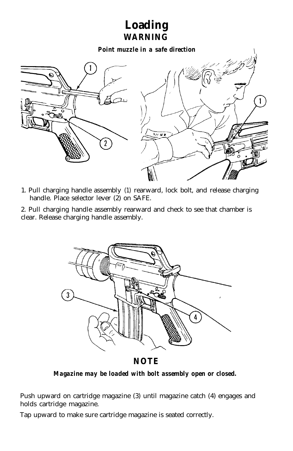## **Loading WARNING**

*Point muzzle in a safe direction \*



- 1. Pull charging handle assembly (1) rearward, lock bolt, and release charging handle. Place selector lever (2) on SAFE.
- 2. Pull charging handle assembly rearward and check to see that chamber is clear. Release charging handle assembly.



**NOTE**

*Magazine may be loaded with bolt assembly open or closed.*

Push upward on cartridge magazine (3) until magazine catch (4) engages and holds cartridge magazine.

Tap upward to make sure cartridge magazine is seated correctly.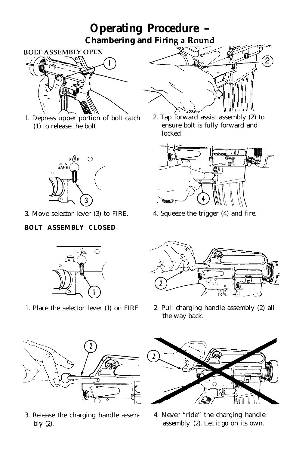## **Operating Procedure - Chambering and Firin**



1. Depress upper portion of bolt catch (1) to release the bolt



3. Move selector lever (3) to FIRE.

### **BOLT ASSEMBLY CLOSED**



1. Place the selector lever (1) on FIRE



2. Tap forward assist assembly (2) to ensure bolt is fully forward and locked.



4. Squeeze the trigger (4) and fire.



2. Pull charging handle assembly (2) all the way back.



3. Release the charging handle assembl $\gamma$  (2).



4. Never "ride" the charging handle assembly  $(2)$ . Let it go on its own.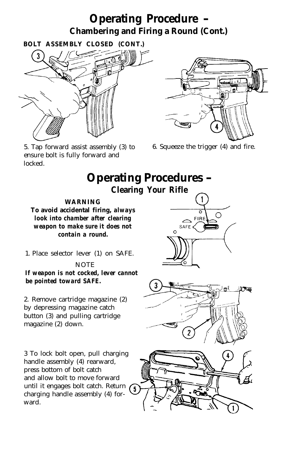## **Operating Procedure - Chambering and Firing a Round (Cont.)**



5. Tap forward assist assembly (3) to ensure bolt is fully forward and locked.

6. Squeeze the trigger (4) and fire.

**Operating Procedures -**

FIRE SAFE<sup>t</sup>





**Clearing Your Rifle**

#### **WARNING**

**To avoid accidental firing,** *always look into chamber after clearing weapon to make sure it does not contain a round.*

1. Place selector lever (1) on SAFE.

#### **NOTE**

*If weapon is not cocked, lever cannot be pointed toward SAFE.*

2. Remove cartridge magazine (2) by depressing magazine catch button (3) and pulling cartridge magazine (2) down.

3 To lock bolt open, pull charging handle assembly (4) rearward, press bottom of bolt catch (5), and allow bolt to move forward until it engages bolt catch. Return charging handle assembly (4) forward.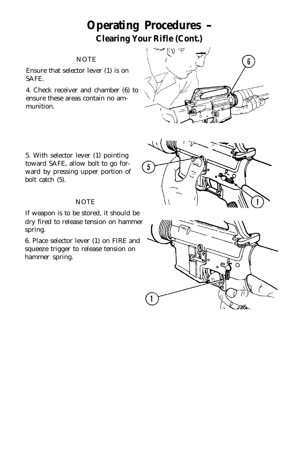## **Operating Procedures - Clearing Your Rifle (Cont.)**

#### **NOTE**

Ensure that selector lever (1) is on SAFE.

4. Check receiver and chamber (6) to ensure these areas contain no ammunition.





#### **NOTE**

If weapon is to be stored, it should be dry fired to release tension on hammer spring.

6. Place selector lever (1) on FIRE and squeeze trigger to release tension on hammer spring.



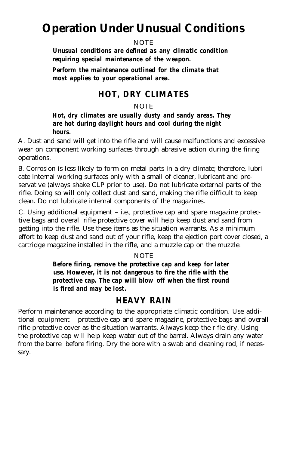## **Operation Under Unusual Conditions**

#### **NOTE**

*Unusual conditions are defined as any climatic condition requiring special maintenance of the weapon.*

*Perform the maintenance outlined for the climate that most applies to your operational area.*

### **HOT, DRY CLIMATES**

#### **NOTE**

#### *Hot, dry climates are usually dusty and sandy areas. They are hot during daylight hours and cool during the night hours.*

A. Dust and sand will get into the rifle and will cause malfunctions and excessive wear on component working surfaces through abrasive action during the firing operations.

B. Corrosion is less likely to form on metal parts in a dry climate; therefore, lubricate internal working surfaces only with a small of cleaner, lubricant and preservative (always shake CLP prior to use). Do not lubricate external parts of the rifle. Doing so will only collect dust and sand, making the rifle difficult to keep clean. Do not lubricate internal components of the magazines.

C. Using additional equipment - i.e., protective cap and spare magazine protective bags and overall rifle protective cover will help keep dust and sand from getting into the rifle. Use these items as the situation warrants. As a minimum effort to keep dust and sand out of your rifle, keep the ejection port cover closed, a cartridge magazine installed in the rifle, and a muzzle cap on the muzzle.

#### **NOTE**

*Before firing, remove the protective cap and keep for later use. However, it is not dangerous to fire the rifle with the protective cap. The cap will blow off when the first round is fired and may be lost.*

### **HEAVY RAIN**

Perform maintenance according to the appropriate climatic condition. Use additional equipment - protective cap and spare magazine, protective bags and overall rifle protective cover as the situation warrants. Always keep the rifle dry. Using the protective cap will help keep water out of the barrel. Always drain any water from the barrel before firing. Dry the bore with a swab and cleaning rod, if necessary.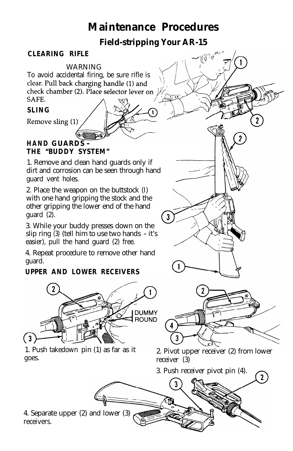## **Maintenance Procedures**

**Field-stripping Your AR-15**

سمند (م) الأمريكي<br>الرحمن

 $\overline{2}$ 

### **CLEARING RIFLE**

WARNING To avoid accidental firing, be sure rifle is clear. Pull back charging handle (1) and check chamber (2). Place selector lever on SAFE.

### **SLING**

Remove sling (1)

### **HAND GUARDS - THE "BUDDY SYSTEM"**

1. Remove and clean hand guards only if dirt and corrosion can be seen through hand guard vent holes.

2. Place the weapon on the buttstock (I) with one hand gripping the stock and the other gripping the lower end of the hand guard (2).

3. While your buddy presses down on the slip ring (3) (tell him to use two hands - it's easier), pull the hand guard (2) free.

4. Repeat procedure to remove other hand guard.

### **UPPER AND LOWER RECEIVERS**



1. Push takedown pin (1) as far as it goes.

2. Pivot upper receiver (2) from lower receiver (3)



1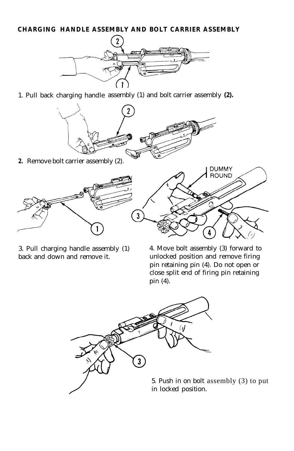#### **CHARGING HANDLE ASSEMBLY AND BOLT CARRIER ASSEMBLY**



1. Pull back charging handle assembly (1) and bolt carrier assembly **(2).**



**2.** Remove bolt carrier assembly (2).



3. Pull charging handle assembly (1) back and down and remove it.

4. Move bolt assembly (3) forward to unlocked position and remove firing pin retaining pin (4). Do not open or close split end of firing pin retaining pin (4).



5. Push in on bolt assembly (3) to put in locked position.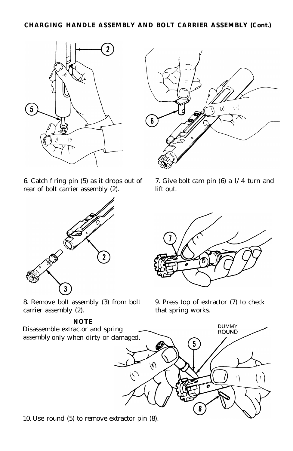#### **CHARGING HANDLE ASSEMBLY AND BOLT CARRIER ASSEMBLY (Cont.)**



6. Catch firing pin (5) as it drops out of rear of bolt carrier assembly (2).



8. Remove bolt assembly (3) from bolt carrier assembly (2).

#### **NOTE**

assembly only when dirty or damaged.



7. Give bolt cam pin (6) a l/4 turn and lift out.



9. Press top of extractor (7) to check that spring works.



10. Use round (5) to remove extractor pin (8).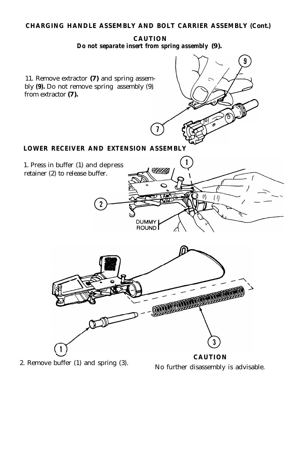#### **CHARGING HANDLE ASSEMBLY AND BOLT CARRIER ASSEMBLY (Cont.)**

**CAUTION** *Do not separate insert from spring assembly* **(9).**



2. Remove buffer (1) and spring (3). No further disassembly is advisable.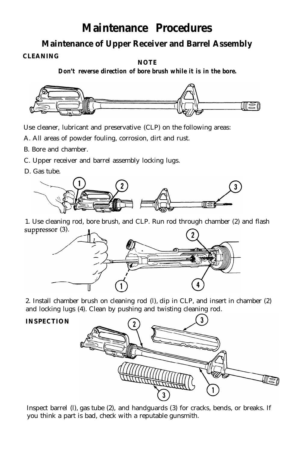## **Maintenance Procedures**

**Maintenance of Upper Receiver and Barrel Assembly**

**CLEANING**

**NOTE**

*Don't reverse direction of bore brush while it is in the bore.*



Use cleaner, lubricant and preservative (CLP) on the following areas:

A. All areas of powder fouling, corrosion, dirt and rust.

- B. Bore and chamber.
- C. Upper receiver and barrel assembly locking lugs.
- D. Gas tube.



1. Use cleaning rod, bore brush, and CLP. Run rod through chamber (2) and flash suppressor  $(3)$ .



2. Install chamber brush on cleaning rod (l), dip in CLP, and insert in chamber (2) and locking lugs (4). Clean by pushing and twisting cleaning rod.

#### **INSPECTION**



Inspect barrel (l), gas tube (2), and handguards (3) for cracks, bends, or breaks. If you think a part is bad, check with a reputable gunsmith.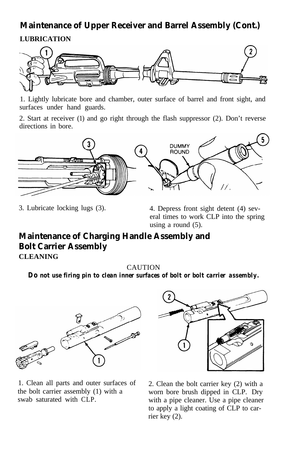## **Maintenance of Upper Receiver and Barrel Assembly (Cont.)**

## **LUBRICATION**



1. Lightly lubricate bore and chamber, outer surface of barrel and front sight, and surfaces under hand guards.

2. Start at receiver (1) and go right through the flash suppressor (2). Don't reverse directions in bore.



3. Lubricate locking lugs (3). 4. Depress front sight detent (4) several times to work CLP into the spring using a round (5).

## **Maintenance of Charging Handle Assembly and Bolt Carrier Assembly**

**CLEANING**

CAUTION

*Do not use firing pin to clean inner surfaces of bolt or bolt carrier assembly.*



1. Clean all parts and outer surfaces of the bolt carrier assembly (1) with a swab saturated with CLP.



2. Clean the bolt carrier key (2) with a worn bore brush dipped in CLP. Dry with a pipe cleaner. Use a pipe cleaner to apply a light coating of CLP to carrier key (2).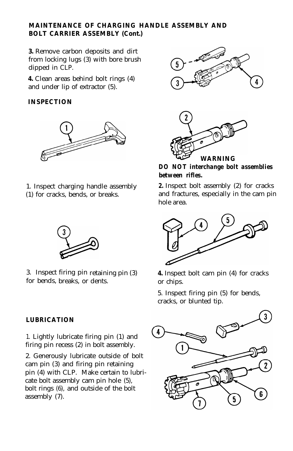#### **MAINTENANCE OF CHARGING HANDLE ASSEMBLY AND BOLT CARRIER ASSEMBLY (Cont.)**

**3.** Remove carbon deposits and dirt from locking lugs (3) with bore brush dipped in CLP.

**4.** Clean areas behind bolt rings (4) and under lip of extractor (5).

#### **INSPECTION**



1. Inspect charging handle assembly (1) for cracks, bends, or breaks.



3. Inspect firing pin retaining pin (3) for bends, breaks, or dents.

#### **LUBRICATION**

1. Lightly lubricate firing pin (1) and firing pin recess (2) in bolt assembly.

2. Generously lubricate outside of bolt cam pin (3) and firing pin retaining pin (4) with CLP. Make certain to lubricate bolt assembly cam pin hole (5), bolt rings (6), and outside of the bolt assembly (7).





*DO NOT interchange bolt assemblies between rifles.*

*2.* Inspect bolt assembly (2) for cracks and fractures, especially in the cam pin hole area.



**4.** Inspect bolt cam pin (4) for cracks or chips.

5. Inspect firing pin (5) for bends, cracks, or blunted tip.

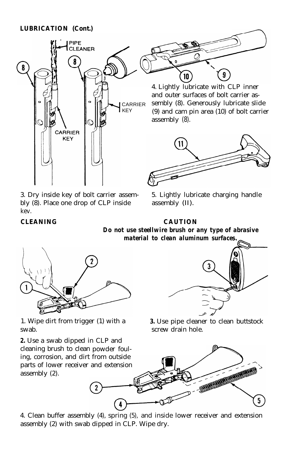#### **LUBRICATION (Cont.)**



 $10$ 

4. Lightly lubricate with CLP inner and outer surfaces of bolt carrier assembly (8). Generously lubricate slide (9) and cam pin area (10) of bolt carrier assembly (8).



3. Dry inside key of bolt carrier assembly (8). Place one drop of CLP inside kev.

5. Lightly lubricate charging handle assembly (II).

#### **CLEANING CAUTION**

*Do not use steellwire brush or any type of abrasive material to clean aluminum surfaces.*



1. Wipe dirt from trigger (1) with a *3.* Use pipe cleaner to clean buttstock swab.  $s$  screw drain hole.

*2.* Use a swab dipped in CLP and cleaning brush to clean powder fouling, corrosion, and dirt from outside parts of lower receiver and extension assembly (2).





4. Clean buffer assembly (4), spring (5), and inside lower receiver and extension assembly (2) with swab dipped in CLP. Wipe dry.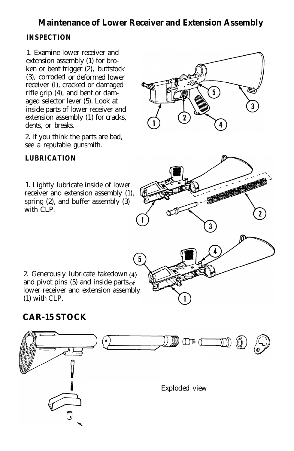## **Maintenance of Lower Receiver and Extension Assembly**

### **INSPECTION**

1. Examine lower receiver and extension assembly (1) for broken or bent trigger (2), buttstock (3), corroded or deformed lower receiver (l), cracked or damaged rifle grip (4), and bent or damaged selector lever (5). Look at inside parts of lower receiver and extension assembly (1) for cracks, dents, or breaks.

2. If you think the parts are bad, see a reputable gunsmith.

### **LUBRICATION**

1. Lightly lubricate inside of lower receiver and extension assembly (1), spring (2), and buffer assembly (3) with CLP.



and pivot pins  $(5)$  and inside parts of lower receiver and extension assembly (1) with CLP.

## **CAR-15 STOCK**

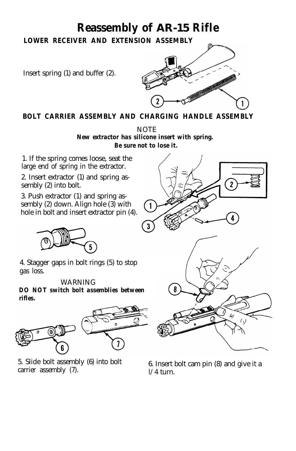## **Reassembly of AR-15 Rifle**

**LOWER RECEIVER AND EXTENSION ASSEMBLY**

Insert spring (1) and buffer (2).



### **BOLT CARRIER ASSEMBLY AND CHARGING HANDLE ASSEMBLY**

NOTE *New extractor has silicone insert with spring. Be sure not to lose it.*

1. If the spring comes loose, seat the large end of spring in the extractor.

2. Insert extractor (1) and spring assembly (2) into bolt.

3. Push extractor (1) and spring assembly (2) down. Align hole (3) with hole in bolt and insert extractor pin (4).



4. Stagger gaps in bolt rings (5) to stop gas loss.

#### WARNING

*DO NOT switch bolt assemblies between rifles.*



5. Slide bolt assembly (6) into bolt carrier assembly (7).



6. Insert bolt cam pin  $(8)$  and give it a  $1/4$  turn.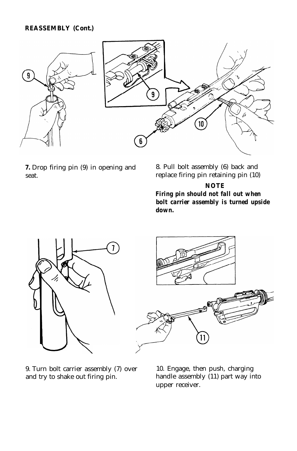#### **REASSEMBLY (Cont.)**



**7.** Drop firing pin (9) in opening and seat.

8. Pull bolt assembly (6) back and replace firing pin retaining pin (10)

#### **NOTE** *Firing pin should not fall out when bolt carrier assembly is turned upside down.*



9. Turn bolt carrier assembly (7) over and try to shake out firing pin.



10. Engage, then push, charging handle assembly (11) part way into upper receiver.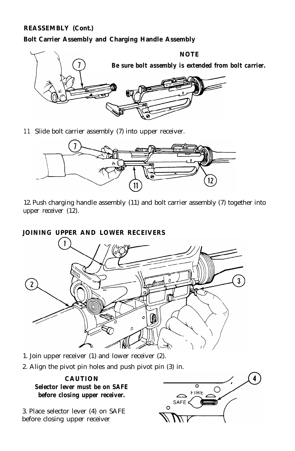#### **REASSEMBLY (Cont.)**

#### **Bolt Carrier Assembly and Charging Handle Assembly**



11 Slide bolt carrier assembly (7) into upper receiver.



12. Push charging handle assembly (11) and bolt carrier assembly (7) together into upper receiver (12).

#### **JOINING UPPER AND LOWER RECEIVERS**



- 1. Join upper receiver (1) and lower receiver (2).
- 2. Align the pivot pin holes and push pivot pin (3) in.



3. Place selector lever (4) on SAFE before closing upper receiver

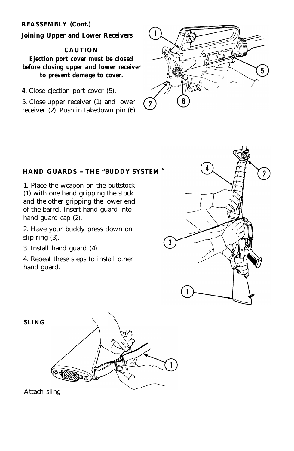#### **REASSEMBLY (Cont.)**

#### **Joining Upper and Lower Receivers**

#### **CAUTION**

*Ejection port cover must be closed before closing upper and lower receiver to prevent damage to cover.*

*4.* Close ejection port cover (5).

5. Close upper receiver (1) and lower receiver (2). Push in takedown pin (6).



#### **HAND GUARDS - THE "BUDDY SYSTEM**

1. Place the weapon on the buttstock (1) with one hand gripping the stock and the other gripping the lower end of the barrel. Insert hand guard into hand guard cap (2).

2. Have your buddy press down on slip ring (3).

3. Install hand guard (4).

4. Repeat these steps to install other hand guard.





Attach sling